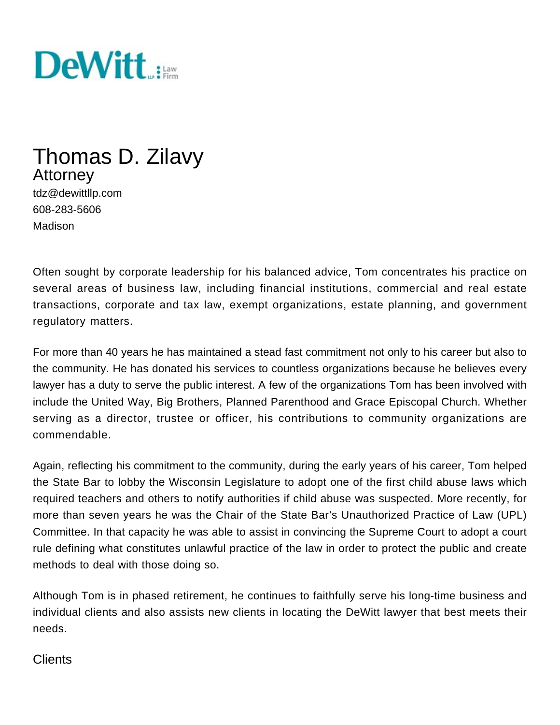

# Thomas D. Zilavy Attorney

tdz@dewittllp.com 608-283-5606 Madison

Often sought by corporate leadership for his balanced advice, Tom concentrates his practice on several areas of business law, including financial institutions, commercial and real estate transactions, corporate and tax law, exempt organizations, estate planning, and government regulatory matters.

For more than 40 years he has maintained a stead fast commitment not only to his career but also to the community. He has donated his services to countless organizations because he believes every lawyer has a duty to serve the public interest. A few of the organizations Tom has been involved with include the United Way, Big Brothers, Planned Parenthood and Grace Episcopal Church. Whether serving as a director, trustee or officer, his contributions to community organizations are commendable.

Again, reflecting his commitment to the community, during the early years of his career, Tom helped the State Bar to lobby the Wisconsin Legislature to adopt one of the first child abuse laws which required teachers and others to notify authorities if child abuse was suspected. More recently, for more than seven years he was the Chair of the State Bar's Unauthorized Practice of Law (UPL) Committee. In that capacity he was able to assist in convincing the Supreme Court to adopt a court rule defining what constitutes unlawful practice of the law in order to protect the public and create methods to deal with those doing so.

Although Tom is in phased retirement, he continues to faithfully serve his long-time business and individual clients and also assists new clients in locating the DeWitt lawyer that best meets their needs.

#### **Clients**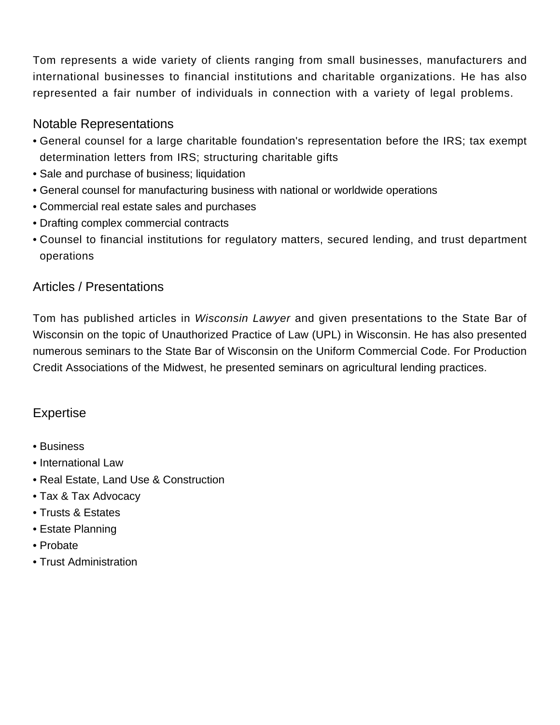Tom represents a wide variety of clients ranging from small businesses, manufacturers and international businesses to financial institutions and charitable organizations. He has also represented a fair number of individuals in connection with a variety of legal problems.

### Notable Representations

- General counsel for a large charitable foundation's representation before the IRS; tax exempt determination letters from IRS; structuring charitable gifts
- Sale and purchase of business; liquidation
- General counsel for manufacturing business with national or worldwide operations
- Commercial real estate sales and purchases
- Drafting complex commercial contracts
- Counsel to financial institutions for regulatory matters, secured lending, and trust department operations

## Articles / Presentations

Tom has published articles in Wisconsin Lawyer and given presentations to the State Bar of Wisconsin on the topic of Unauthorized Practice of Law (UPL) in Wisconsin. He has also presented numerous seminars to the State Bar of Wisconsin on the Uniform Commercial Code. For Production Credit Associations of the Midwest, he presented seminars on agricultural lending practices.

## Expertise

- [Business](/expertise/business)
- [International Law](/expertise/international-law)
- [Real Estate, Land Use & Construction](/expertise/real-estate-land-use-construction)
- [Tax & Tax Advocacy](/expertise/tax-tax-advocacy)
- [Trusts & Estates](/expertise/trusts-estates)
- Estate Planning
- Probate
- Trust Administration